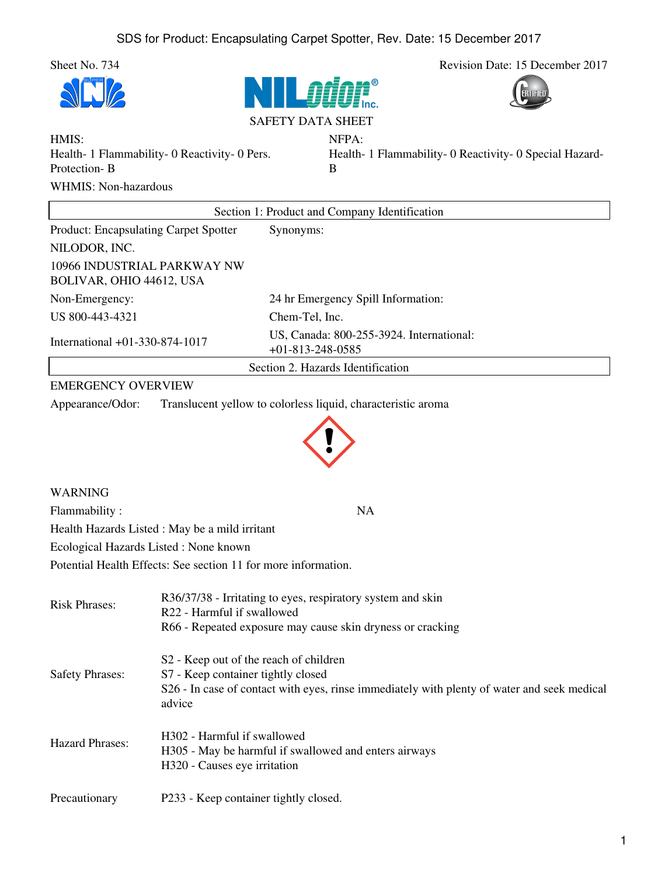Sheet No. 734 Revision Date: 15 December 2017







NFPA:

HMIS: Health- 1 Flammability- 0 Reactivity- 0 Pers. Protection- B WHMIS: Non-hazardous

Health- 1 Flammability- 0 Reactivity- 0 Special Hazard-B

| Section 1: Product and Company Identification           |                                                                |  |
|---------------------------------------------------------|----------------------------------------------------------------|--|
| <b>Product: Encapsulating Carpet Spotter</b>            | Synonyms:                                                      |  |
| NILODOR, INC.                                           |                                                                |  |
| 10966 INDUSTRIAL PARKWAY NW<br>BOLIVAR, OHIO 44612, USA |                                                                |  |
| Non-Emergency:                                          | 24 hr Emergency Spill Information:                             |  |
| US 800-443-4321                                         | Chem-Tel, Inc.                                                 |  |
| International +01-330-874-1017                          | US, Canada: 800-255-3924. International:<br>$+01-813-248-0585$ |  |
|                                                         | Section 2. Hazards Identification                              |  |

## EMERGENCY OVERVIEW

Appearance/Odor: Translucent yellow to colorless liquid, characteristic aroma



| WARNING                                                        |           |
|----------------------------------------------------------------|-----------|
| Flammability:                                                  | <b>NA</b> |
| Health Hazards Listed : May be a mild irritant                 |           |
| Ecological Hazards Listed: None known                          |           |
| Potential Health Effects: See section 11 for more information. |           |
|                                                                |           |

| <b>Risk Phrases:</b>   | R36/37/38 - Irritating to eyes, respiratory system and skin<br>R22 - Harmful if swallowed<br>R66 - Repeated exposure may cause skin dryness or cracking                                           |
|------------------------|---------------------------------------------------------------------------------------------------------------------------------------------------------------------------------------------------|
| <b>Safety Phrases:</b> | S <sub>2</sub> - Keep out of the reach of children<br>S7 - Keep container tightly closed<br>S26 - In case of contact with eyes, rinse immediately with plenty of water and seek medical<br>advice |
| <b>Hazard Phrases:</b> | H <sub>302</sub> - Harmful if swallowed<br>H305 - May be harmful if swallowed and enters airways<br>H320 - Causes eye irritation                                                                  |
| Precautionary          | P233 - Keep container tightly closed.                                                                                                                                                             |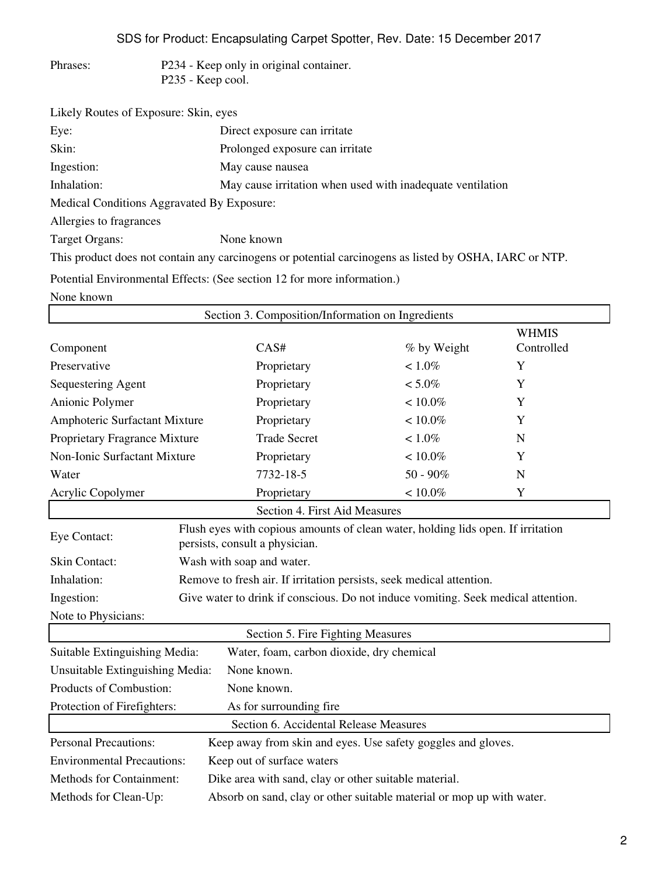SDS for Product: Encapsulating Carpet Spotter, Rev. Date: 15 December 2017

| Phrases: | P234 - Keep only in original container. |
|----------|-----------------------------------------|
|          | P235 - Keep cool.                       |

| Likely Routes of Exposure: Skin, eyes      |                                                                                                        |
|--------------------------------------------|--------------------------------------------------------------------------------------------------------|
| Eye:                                       | Direct exposure can irritate                                                                           |
| Skin:                                      | Prolonged exposure can irritate                                                                        |
| Ingestion:                                 | May cause nausea                                                                                       |
| Inhalation:                                | May cause irritation when used with inadequate ventilation                                             |
| Medical Conditions Aggravated By Exposure: |                                                                                                        |
| Allergies to fragrances                    |                                                                                                        |
| Target Organs:                             | None known                                                                                             |
|                                            | This product does not contain any carcinogens or potential carcinogens as listed by OSHA, IARC or NTP. |
|                                            | Potential Environmental Effects: (See section 12 for more information.)                                |
| None known                                 |                                                                                                        |

|                                                                                                |                                                                                                                    | Section 3. Composition/Information on Ingredients            |             |              |
|------------------------------------------------------------------------------------------------|--------------------------------------------------------------------------------------------------------------------|--------------------------------------------------------------|-------------|--------------|
|                                                                                                |                                                                                                                    |                                                              |             | <b>WHMIS</b> |
| Component                                                                                      |                                                                                                                    | CAS#                                                         | % by Weight | Controlled   |
| Preservative                                                                                   |                                                                                                                    | Proprietary                                                  | $< 1.0\%$   | Y            |
| Sequestering Agent                                                                             |                                                                                                                    | Proprietary                                                  | $< 5.0\%$   | Y            |
| Anionic Polymer                                                                                |                                                                                                                    | Proprietary                                                  | $< 10.0\%$  | Y            |
| Amphoteric Surfactant Mixture                                                                  |                                                                                                                    | Proprietary                                                  | $< 10.0\%$  | Y            |
| Proprietary Fragrance Mixture                                                                  |                                                                                                                    | <b>Trade Secret</b>                                          | $< 1.0\%$   | N            |
| Non-Ionic Surfactant Mixture                                                                   |                                                                                                                    | Proprietary                                                  | $< 10.0\%$  | Y            |
| Water                                                                                          |                                                                                                                    | 7732-18-5                                                    | $50 - 90\%$ | N            |
| Acrylic Copolymer                                                                              |                                                                                                                    | Proprietary                                                  | $< 10.0\%$  | Y            |
|                                                                                                |                                                                                                                    | Section 4. First Aid Measures                                |             |              |
| Eye Contact:                                                                                   | Flush eyes with copious amounts of clean water, holding lids open. If irritation<br>persists, consult a physician. |                                                              |             |              |
| <b>Skin Contact:</b>                                                                           | Wash with soap and water.                                                                                          |                                                              |             |              |
| Inhalation:                                                                                    | Remove to fresh air. If irritation persists, seek medical attention.                                               |                                                              |             |              |
| Ingestion:                                                                                     | Give water to drink if conscious. Do not induce vomiting. Seek medical attention.                                  |                                                              |             |              |
| Note to Physicians:                                                                            |                                                                                                                    |                                                              |             |              |
|                                                                                                |                                                                                                                    | Section 5. Fire Fighting Measures                            |             |              |
| Suitable Extinguishing Media:                                                                  |                                                                                                                    | Water, foam, carbon dioxide, dry chemical                    |             |              |
| Unsuitable Extinguishing Media:                                                                |                                                                                                                    | None known.                                                  |             |              |
| Products of Combustion:                                                                        |                                                                                                                    | None known.                                                  |             |              |
| Protection of Firefighters:                                                                    |                                                                                                                    | As for surrounding fire                                      |             |              |
|                                                                                                |                                                                                                                    | Section 6. Accidental Release Measures                       |             |              |
| <b>Personal Precautions:</b>                                                                   |                                                                                                                    | Keep away from skin and eyes. Use safety goggles and gloves. |             |              |
|                                                                                                | <b>Environmental Precautions:</b><br>Keep out of surface waters                                                    |                                                              |             |              |
|                                                                                                | Methods for Containment:<br>Dike area with sand, clay or other suitable material.                                  |                                                              |             |              |
| Absorb on sand, clay or other suitable material or mop up with water.<br>Methods for Clean-Up: |                                                                                                                    |                                                              |             |              |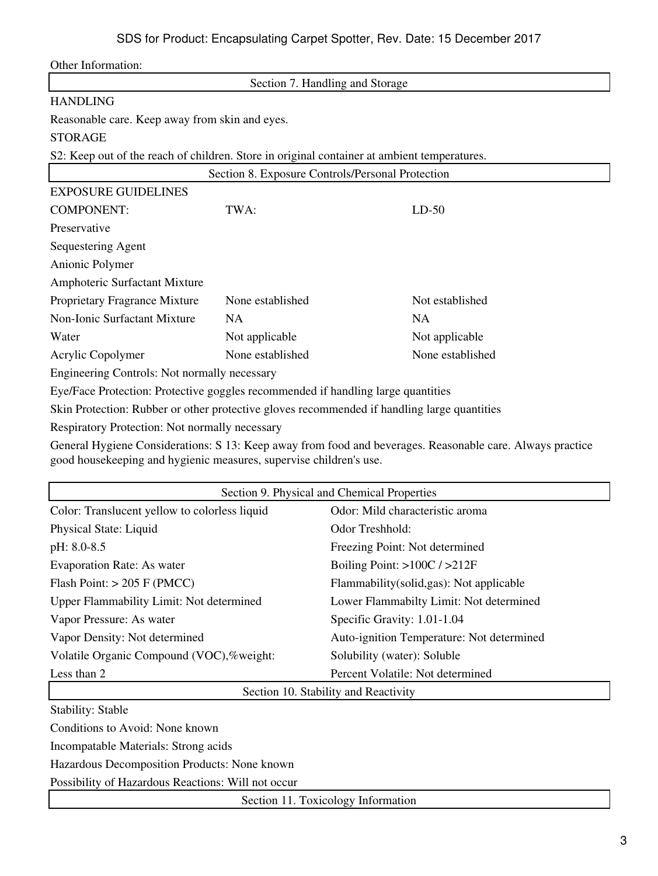| Other Information:                                                                          |                                                  |                  |  |
|---------------------------------------------------------------------------------------------|--------------------------------------------------|------------------|--|
|                                                                                             | Section 7. Handling and Storage                  |                  |  |
| <b>HANDLING</b>                                                                             |                                                  |                  |  |
| Reasonable care. Keep away from skin and eyes.                                              |                                                  |                  |  |
| <b>STORAGE</b>                                                                              |                                                  |                  |  |
| S2: Keep out of the reach of children. Store in original container at ambient temperatures. |                                                  |                  |  |
|                                                                                             | Section 8. Exposure Controls/Personal Protection |                  |  |
| <b>EXPOSURE GUIDELINES</b>                                                                  |                                                  |                  |  |
| <b>COMPONENT:</b>                                                                           | TWA:                                             | $LD-50$          |  |
| Preservative                                                                                |                                                  |                  |  |
| Sequestering Agent                                                                          |                                                  |                  |  |
| Anionic Polymer                                                                             |                                                  |                  |  |
| Amphoteric Surfactant Mixture                                                               |                                                  |                  |  |
| Proprietary Fragrance Mixture                                                               | None established                                 | Not established  |  |
| <b>Non-Ionic Surfactant Mixture</b>                                                         | <b>NA</b>                                        | <b>NA</b>        |  |
| Water                                                                                       | Not applicable                                   | Not applicable   |  |
| Acrylic Copolymer                                                                           | None established                                 | None established |  |
| Engineering Controls: Not normally necessary                                                |                                                  |                  |  |
| Eye/Face Protection: Protective goggles recommended if handling large quantities            |                                                  |                  |  |
| Skin Protection: Rubber or other protective gloves recommended if handling large quantities |                                                  |                  |  |
| Respiratory Protection: Not normally necessary                                              |                                                  |                  |  |

General Hygiene Considerations: S 13: Keep away from food and beverages. Reasonable care. Always practice good housekeeping and hygienic measures, supervise children's use.

|                                                                                                                                | Section 9. Physical and Chemical Properties |
|--------------------------------------------------------------------------------------------------------------------------------|---------------------------------------------|
| Color: Translucent yellow to colorless liquid                                                                                  | Odor: Mild characteristic aroma             |
| Physical State: Liquid                                                                                                         | Odor Treshhold:                             |
| pH: 8.0-8.5                                                                                                                    | Freezing Point: Not determined              |
| <b>Evaporation Rate: As water</b>                                                                                              | Boiling Point: $>100C / >212F$              |
| Flash Point: $> 205$ F (PMCC)                                                                                                  | Flammability (solid, gas): Not applicable   |
| Upper Flammability Limit: Not determined                                                                                       | Lower Flammabilty Limit: Not determined     |
| Vapor Pressure: As water                                                                                                       | Specific Gravity: 1.01-1.04                 |
| Vapor Density: Not determined                                                                                                  | Auto-ignition Temperature: Not determined   |
| Volatile Organic Compound (VOC),%weight:                                                                                       | Solubility (water): Soluble                 |
| Less than 2                                                                                                                    | Percent Volatile: Not determined            |
|                                                                                                                                | Section 10. Stability and Reactivity        |
| <b>Stability: Stable</b>                                                                                                       |                                             |
| Conditions to Avoid: None known                                                                                                |                                             |
| Incompatable Materials: Strong acids                                                                                           |                                             |
| $\mathbf{r}$ , and $\mathbf{r}$ , and $\mathbf{r}$ , and $\mathbf{r}$ , and $\mathbf{r}$ , and $\mathbf{r}$ , and $\mathbf{r}$ |                                             |

Hazardous Decomposition Products: None known

Possibility of Hazardous Reactions: Will not occur

Section 11. Toxicology Information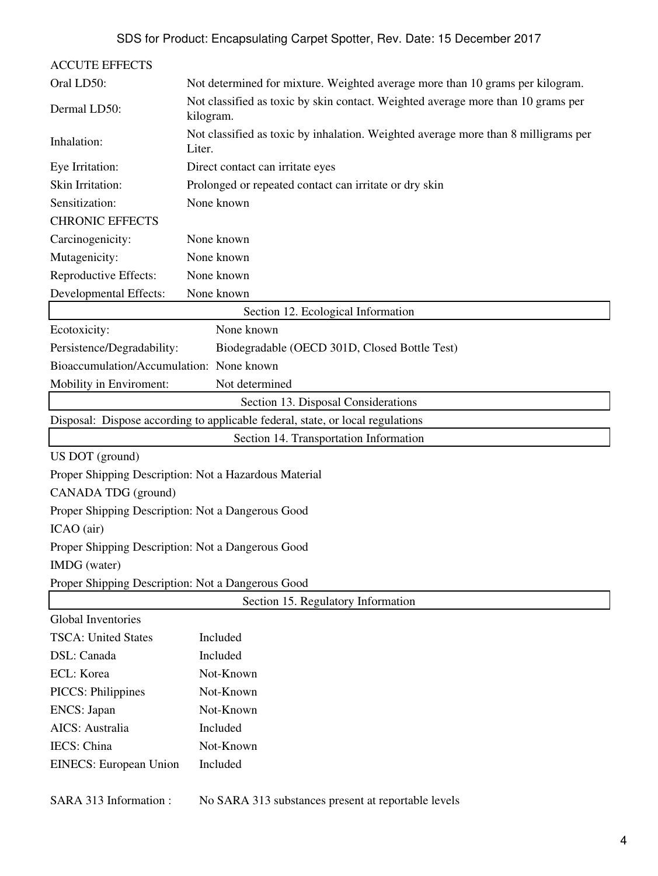| <b>ACCUTE EFFECTS</b>                             |                                                                                               |  |
|---------------------------------------------------|-----------------------------------------------------------------------------------------------|--|
| Oral LD50:                                        | Not determined for mixture. Weighted average more than 10 grams per kilogram.                 |  |
| Dermal LD50:                                      | Not classified as toxic by skin contact. Weighted average more than 10 grams per<br>kilogram. |  |
| Inhalation:                                       | Not classified as toxic by inhalation. Weighted average more than 8 milligrams per<br>Liter.  |  |
| Eye Irritation:                                   | Direct contact can irritate eyes                                                              |  |
| Skin Irritation:                                  | Prolonged or repeated contact can irritate or dry skin                                        |  |
| Sensitization:                                    | None known                                                                                    |  |
| <b>CHRONIC EFFECTS</b>                            |                                                                                               |  |
| Carcinogenicity:                                  | None known                                                                                    |  |
| Mutagenicity:                                     | None known                                                                                    |  |
| Reproductive Effects:                             | None known                                                                                    |  |
| Developmental Effects:                            | None known                                                                                    |  |
|                                                   | Section 12. Ecological Information                                                            |  |
| Ecotoxicity:                                      | None known                                                                                    |  |
| Persistence/Degradability:                        | Biodegradable (OECD 301D, Closed Bottle Test)                                                 |  |
| Bioaccumulation/Accumulation: None known          |                                                                                               |  |
| Mobility in Enviroment:                           | Not determined                                                                                |  |
|                                                   | Section 13. Disposal Considerations                                                           |  |
|                                                   | Disposal: Dispose according to applicable federal, state, or local regulations                |  |
|                                                   | Section 14. Transportation Information                                                        |  |
| US DOT (ground)                                   |                                                                                               |  |
|                                                   | Proper Shipping Description: Not a Hazardous Material                                         |  |
| CANADA TDG (ground)                               |                                                                                               |  |
| Proper Shipping Description: Not a Dangerous Good |                                                                                               |  |
| ICAO (air)                                        |                                                                                               |  |
| Proper Shipping Description: Not a Dangerous Good |                                                                                               |  |
| IMDG (water)                                      |                                                                                               |  |
| Proper Shipping Description: Not a Dangerous Good |                                                                                               |  |
| Section 15. Regulatory Information                |                                                                                               |  |
| Global Inventories                                |                                                                                               |  |
| <b>TSCA: United States</b>                        | Included                                                                                      |  |
| DSL: Canada                                       | Included                                                                                      |  |
| ECL: Korea                                        | Not-Known                                                                                     |  |
| <b>PICCS: Philippines</b>                         | Not-Known                                                                                     |  |
| ENCS: Japan                                       | Not-Known                                                                                     |  |
| AICS: Australia                                   | Included                                                                                      |  |
| IECS: China                                       | Not-Known                                                                                     |  |
| <b>EINECS:</b> European Union                     | Included                                                                                      |  |
| SARA 313 Information:                             | No SARA 313 substances present at reportable levels                                           |  |